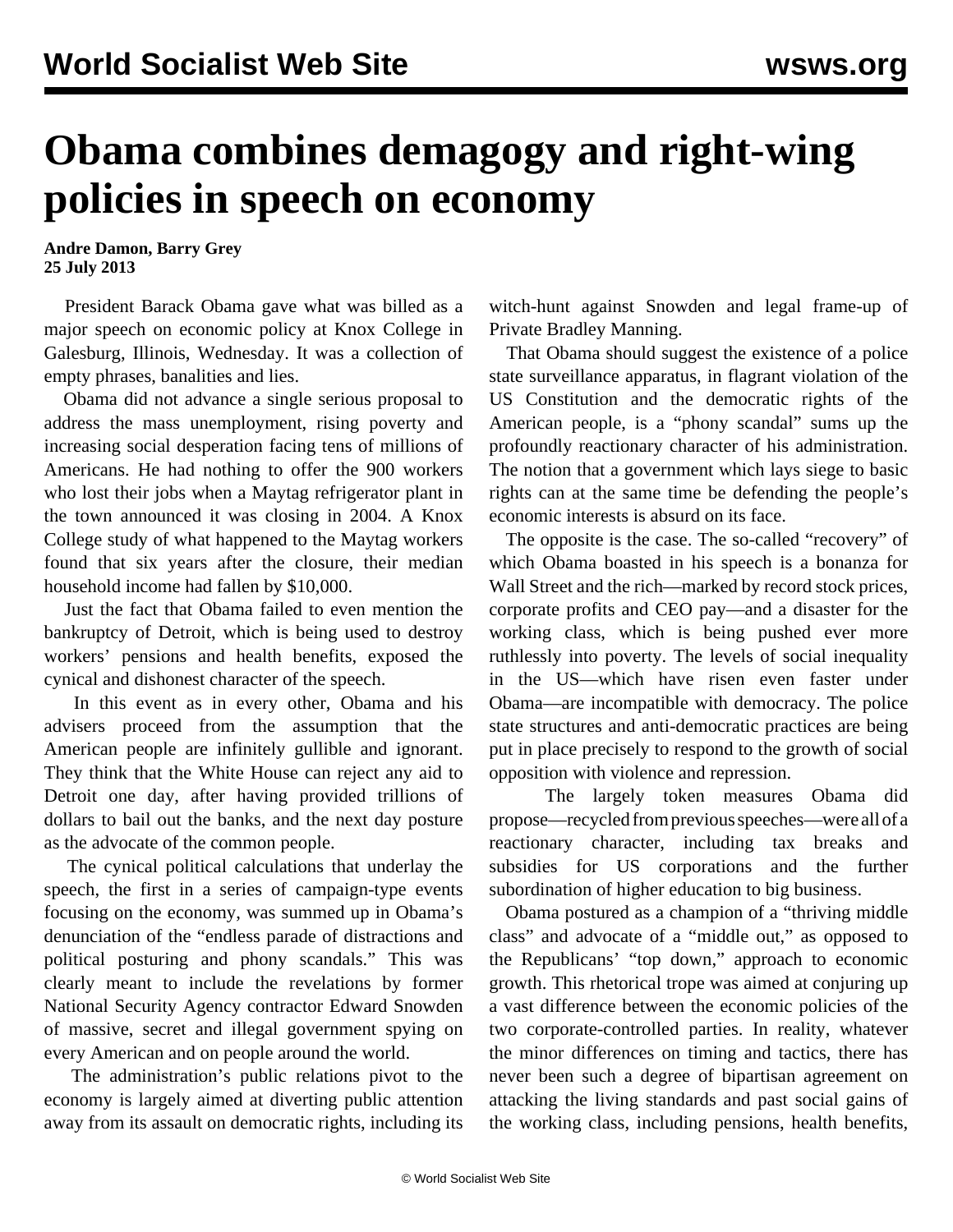## **Obama combines demagogy and right-wing policies in speech on economy**

**Andre Damon, Barry Grey 25 July 2013**

 President Barack Obama gave what was billed as a major speech on economic policy at Knox College in Galesburg, Illinois, Wednesday. It was a collection of empty phrases, banalities and lies.

 Obama did not advance a single serious proposal to address the mass unemployment, rising poverty and increasing social desperation facing tens of millions of Americans. He had nothing to offer the 900 workers who lost their jobs when a Maytag refrigerator plant in the town announced it was closing in 2004. A Knox College study of what happened to the Maytag workers found that six years after the closure, their median household income had fallen by \$10,000.

 Just the fact that Obama failed to even mention the bankruptcy of Detroit, which is being used to destroy workers' pensions and health benefits, exposed the cynical and dishonest character of the speech.

 In this event as in every other, Obama and his advisers proceed from the assumption that the American people are infinitely gullible and ignorant. They think that the White House can reject any aid to Detroit one day, after having provided trillions of dollars to bail out the banks, and the next day posture as the advocate of the common people.

 The cynical political calculations that underlay the speech, the first in a series of campaign-type events focusing on the economy, was summed up in Obama's denunciation of the "endless parade of distractions and political posturing and phony scandals." This was clearly meant to include the revelations by former National Security Agency contractor Edward Snowden of massive, secret and illegal government spying on every American and on people around the world.

 The administration's public relations pivot to the economy is largely aimed at diverting public attention away from its assault on democratic rights, including its witch-hunt against Snowden and legal frame-up of Private Bradley Manning.

 That Obama should suggest the existence of a police state surveillance apparatus, in flagrant violation of the US Constitution and the democratic rights of the American people, is a "phony scandal" sums up the profoundly reactionary character of his administration. The notion that a government which lays siege to basic rights can at the same time be defending the people's economic interests is absurd on its face.

 The opposite is the case. The so-called "recovery" of which Obama boasted in his speech is a bonanza for Wall Street and the rich—marked by record stock prices, corporate profits and CEO pay—and a disaster for the working class, which is being pushed ever more ruthlessly into poverty. The levels of social inequality in the US—which have risen even faster under Obama—are incompatible with democracy. The police state structures and anti-democratic practices are being put in place precisely to respond to the growth of social opposition with violence and repression.

 The largely token measures Obama did propose—recycled from previous speeches—were all of a reactionary character, including tax breaks and subsidies for US corporations and the further subordination of higher education to big business.

 Obama postured as a champion of a "thriving middle class" and advocate of a "middle out," as opposed to the Republicans' "top down," approach to economic growth. This rhetorical trope was aimed at conjuring up a vast difference between the economic policies of the two corporate-controlled parties. In reality, whatever the minor differences on timing and tactics, there has never been such a degree of bipartisan agreement on attacking the living standards and past social gains of the working class, including pensions, health benefits,